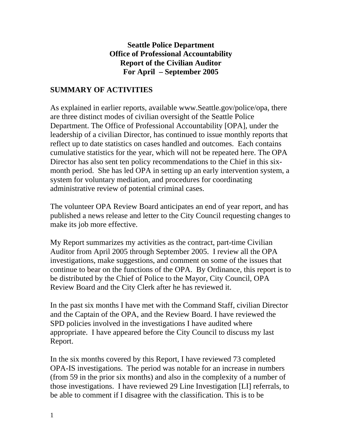#### **Seattle Police Department Office of Professional Accountability Report of the Civilian Auditor For April – September 2005**

## **SUMMARY OF ACTIVITIES**

As explained in earlier reports, available www.Seattle.gov/police/opa, there are three distinct modes of civilian oversight of the Seattle Police Department. The Office of Professional Accountability [OPA], under the leadership of a civilian Director, has continued to issue monthly reports that reflect up to date statistics on cases handled and outcomes. Each contains cumulative statistics for the year, which will not be repeated here. The OPA Director has also sent ten policy recommendations to the Chief in this sixmonth period. She has led OPA in setting up an early intervention system, a system for voluntary mediation, and procedures for coordinating administrative review of potential criminal cases.

The volunteer OPA Review Board anticipates an end of year report, and has published a news release and letter to the City Council requesting changes to make its job more effective.

My Report summarizes my activities as the contract, part-time Civilian Auditor from April 2005 through September 2005. I review all the OPA investigations, make suggestions, and comment on some of the issues that continue to bear on the functions of the OPA. By Ordinance, this report is to be distributed by the Chief of Police to the Mayor, City Council, OPA Review Board and the City Clerk after he has reviewed it.

In the past six months I have met with the Command Staff, civilian Director and the Captain of the OPA, and the Review Board. I have reviewed the SPD policies involved in the investigations I have audited where appropriate. I have appeared before the City Council to discuss my last Report.

In the six months covered by this Report, I have reviewed 73 completed OPA-IS investigations. The period was notable for an increase in numbers (from 59 in the prior six months) and also in the complexity of a number of those investigations. I have reviewed 29 Line Investigation [LI] referrals, to be able to comment if I disagree with the classification. This is to be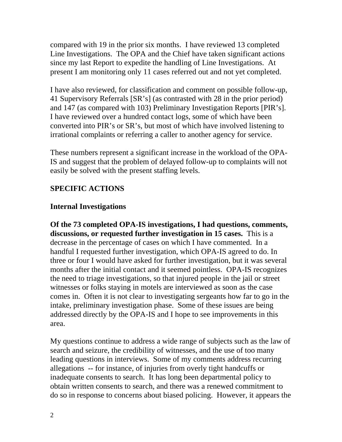compared with 19 in the prior six months. I have reviewed 13 completed Line Investigations. The OPA and the Chief have taken significant actions since my last Report to expedite the handling of Line Investigations. At present I am monitoring only 11 cases referred out and not yet completed.

I have also reviewed, for classification and comment on possible follow-up, 41 Supervisory Referrals [SR's] (as contrasted with 28 in the prior period) and 147 (as compared with 103) Preliminary Investigation Reports [PIR's]. I have reviewed over a hundred contact logs, some of which have been converted into PIR's or SR's, but most of which have involved listening to irrational complaints or referring a caller to another agency for service.

These numbers represent a significant increase in the workload of the OPA-IS and suggest that the problem of delayed follow-up to complaints will not easily be solved with the present staffing levels.

# **SPECIFIC ACTIONS**

# **Internal Investigations**

**Of the 73 completed OPA-IS investigations, I had questions, comments, discussions, or requested further investigation in 15 cases.** This is a decrease in the percentage of cases on which I have commented. In a handful I requested further investigation, which OPA-IS agreed to do. In three or four I would have asked for further investigation, but it was several months after the initial contact and it seemed pointless. OPA-IS recognizes the need to triage investigations, so that injured people in the jail or street witnesses or folks staying in motels are interviewed as soon as the case comes in. Often it is not clear to investigating sergeants how far to go in the intake, preliminary investigation phase. Some of these issues are being addressed directly by the OPA-IS and I hope to see improvements in this area.

My questions continue to address a wide range of subjects such as the law of search and seizure, the credibility of witnesses, and the use of too many leading questions in interviews. Some of my comments address recurring allegations -- for instance, of injuries from overly tight handcuffs or inadequate consents to search. It has long been departmental policy to obtain written consents to search, and there was a renewed commitment to do so in response to concerns about biased policing. However, it appears the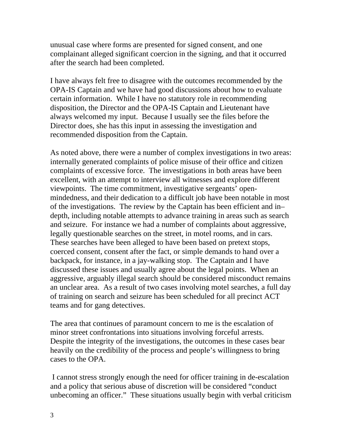unusual case where forms are presented for signed consent, and one complainant alleged significant coercion in the signing, and that it occurred after the search had been completed.

I have always felt free to disagree with the outcomes recommended by the OPA-IS Captain and we have had good discussions about how to evaluate certain information. While I have no statutory role in recommending disposition, the Director and the OPA-IS Captain and Lieutenant have always welcomed my input. Because I usually see the files before the Director does, she has this input in assessing the investigation and recommended disposition from the Captain.

As noted above, there were a number of complex investigations in two areas: internally generated complaints of police misuse of their office and citizen complaints of excessive force. The investigations in both areas have been excellent, with an attempt to interview all witnesses and explore different viewpoints. The time commitment, investigative sergeants' openmindedness, and their dedication to a difficult job have been notable in most of the investigations. The review by the Captain has been efficient and in– depth, including notable attempts to advance training in areas such as search and seizure. For instance we had a number of complaints about aggressive, legally questionable searches on the street, in motel rooms, and in cars. These searches have been alleged to have been based on pretext stops, coerced consent, consent after the fact, or simple demands to hand over a backpack, for instance, in a jay-walking stop. The Captain and I have discussed these issues and usually agree about the legal points. When an aggressive, arguably illegal search should be considered misconduct remains an unclear area. As a result of two cases involving motel searches, a full day of training on search and seizure has been scheduled for all precinct ACT teams and for gang detectives.

The area that continues of paramount concern to me is the escalation of minor street confrontations into situations involving forceful arrests. Despite the integrity of the investigations, the outcomes in these cases bear heavily on the credibility of the process and people's willingness to bring cases to the OPA.

 I cannot stress strongly enough the need for officer training in de-escalation and a policy that serious abuse of discretion will be considered "conduct unbecoming an officer." These situations usually begin with verbal criticism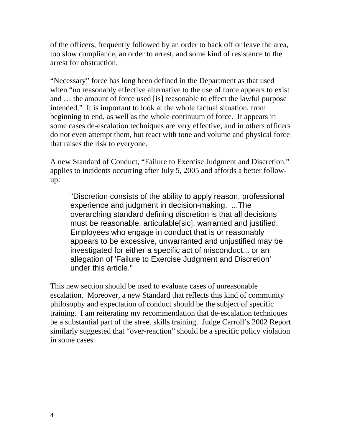of the officers, frequently followed by an order to back off or leave the area, too slow compliance, an order to arrest, and some kind of resistance to the arrest for obstruction.

"Necessary" force has long been defined in the Department as that used when "no reasonably effective alternative to the use of force appears to exist and … the amount of force used [is] reasonable to effect the lawful purpose intended." It is important to look at the whole factual situation, from beginning to end, as well as the whole continuum of force. It appears in some cases de-escalation techniques are very effective, and in others officers do not even attempt them, but react with tone and volume and physical force that raises the risk to everyone.

A new Standard of Conduct, "Failure to Exercise Judgment and Discretion," applies to incidents occurring after July 5, 2005 and affords a better followup:

"Discretion consists of the ability to apply reason, professional experience and judgment in decision-making. ...The overarching standard defining discretion is that all decisions must be reasonable, articulable[sic], warranted and justified. Employees who engage in conduct that is or reasonably appears to be excessive, unwarranted and unjustified may be investigated for either a specific act of misconduct... or an allegation of 'Failure to Exercise Judgment and Discretion' under this article."

This new section should be used to evaluate cases of unreasonable escalation. Moreover, a new Standard that reflects this kind of community philosophy and expectation of conduct should be the subject of specific training. I am reiterating my recommendation that de-escalation techniques be a substantial part of the street skills training. Judge Carroll's 2002 Report similarly suggested that "over-reaction" should be a specific policy violation in some cases.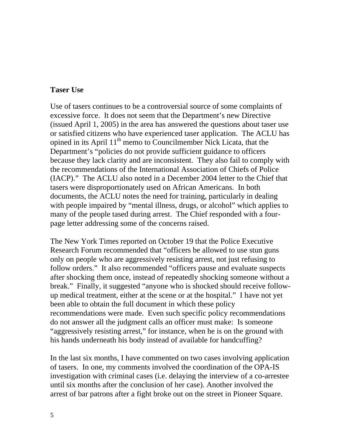### **Taser Use**

Use of tasers continues to be a controversial source of some complaints of excessive force. It does not seem that the Department's new Directive (issued April 1, 2005) in the area has answered the questions about taser use or satisfied citizens who have experienced taser application. The ACLU has opined in its April  $11<sup>th</sup>$  memo to Councilmember Nick Licata, that the Department's "policies do not provide sufficient guidance to officers because they lack clarity and are inconsistent. They also fail to comply with the recommendations of the International Association of Chiefs of Police (IACP)." The ACLU also noted in a December 2004 letter to the Chief that tasers were disproportionately used on African Americans. In both documents, the ACLU notes the need for training, particularly in dealing with people impaired by "mental illness, drugs, or alcohol" which applies to many of the people tased during arrest. The Chief responded with a fourpage letter addressing some of the concerns raised.

The New York Times reported on October 19 that the Police Executive Research Forum recommended that "officers be allowed to use stun guns only on people who are aggressively resisting arrest, not just refusing to follow orders." It also recommended "officers pause and evaluate suspects after shocking them once, instead of repeatedly shocking someone without a break." Finally, it suggested "anyone who is shocked should receive followup medical treatment, either at the scene or at the hospital." I have not yet been able to obtain the full document in which these policy recommendations were made. Even such specific policy recommendations do not answer all the judgment calls an officer must make: Is someone "aggressively resisting arrest," for instance, when he is on the ground with his hands underneath his body instead of available for handcuffing?

In the last six months, I have commented on two cases involving application of tasers. In one, my comments involved the coordination of the OPA-IS investigation with criminal cases (i.e. delaying the interview of a co-arrestee until six months after the conclusion of her case). Another involved the arrest of bar patrons after a fight broke out on the street in Pioneer Square.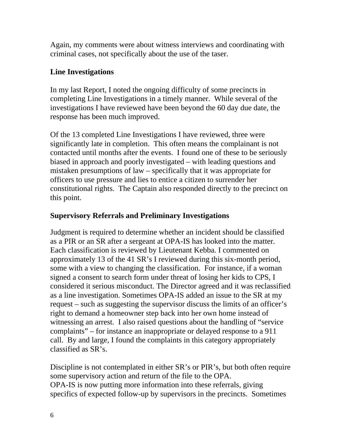Again, my comments were about witness interviews and coordinating with criminal cases, not specifically about the use of the taser.

## **Line Investigations**

In my last Report, I noted the ongoing difficulty of some precincts in completing Line Investigations in a timely manner. While several of the investigations I have reviewed have been beyond the 60 day due date, the response has been much improved.

Of the 13 completed Line Investigations I have reviewed, three were significantly late in completion. This often means the complainant is not contacted until months after the events. I found one of these to be seriously biased in approach and poorly investigated – with leading questions and mistaken presumptions of law – specifically that it was appropriate for officers to use pressure and lies to entice a citizen to surrender her constitutional rights. The Captain also responded directly to the precinct on this point.

# **Supervisory Referrals and Preliminary Investigations**

Judgment is required to determine whether an incident should be classified as a PIR or an SR after a sergeant at OPA-IS has looked into the matter. Each classification is reviewed by Lieutenant Kebba. I commented on approximately 13 of the 41 SR's I reviewed during this six-month period, some with a view to changing the classification. For instance, if a woman signed a consent to search form under threat of losing her kids to CPS, I considered it serious misconduct. The Director agreed and it was reclassified as a line investigation. Sometimes OPA-IS added an issue to the SR at my request – such as suggesting the supervisor discuss the limits of an officer's right to demand a homeowner step back into her own home instead of witnessing an arrest. I also raised questions about the handling of "service complaints" – for instance an inappropriate or delayed response to a 911 call. By and large, I found the complaints in this category appropriately classified as SR's.

Discipline is not contemplated in either SR's or PIR's, but both often require some supervisory action and return of the file to the OPA. OPA-IS is now putting more information into these referrals, giving specifics of expected follow-up by supervisors in the precincts. Sometimes